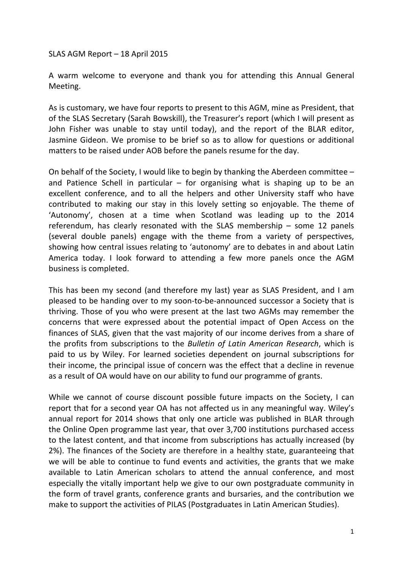SLAS AGM Report - 18 April 2015

A warm welcome to everyone and thank you for attending this Annual General Meeting.

As is customary, we have four reports to present to this AGM, mine as President, that of the SLAS Secretary (Sarah Bowskill), the Treasurer's report (which I will present as John Fisher was unable to stay until today), and the report of the BLAR editor, Jasmine Gideon. We promise to be brief so as to allow for questions or additional matters to be raised under AOB before the panels resume for the day.

On behalf of the Society, I would like to begin by thanking the Aberdeen committee  $$ and Patience Schell in particular  $-$  for organising what is shaping up to be an excellent conference, and to all the helpers and other University staff who have contributed to making our stay in this lovely setting so enjoyable. The theme of 'Autonomy', chosen at a time when Scotland was leading up to the 2014 referendum, has clearly resonated with the SLAS membership  $-$  some 12 panels (several double panels) engage with the theme from a variety of perspectives, showing how central issues relating to 'autonomy' are to debates in and about Latin America today. I look forward to attending a few more panels once the AGM business is completed.

This has been my second (and therefore my last) year as SLAS President, and I am pleased to be handing over to my soon-to-be-announced successor a Society that is thriving. Those of you who were present at the last two AGMs may remember the concerns that were expressed about the potential impact of Open Access on the finances of SLAS, given that the vast majority of our income derives from a share of the profits from subscriptions to the *Bulletin of Latin American Research*, which is paid to us by Wiley. For learned societies dependent on journal subscriptions for their income, the principal issue of concern was the effect that a decline in revenue as a result of OA would have on our ability to fund our programme of grants.

While we cannot of course discount possible future impacts on the Society, I can report that for a second year OA has not affected us in any meaningful way. Wiley's annual report for 2014 shows that only one article was published in BLAR through the Online Open programme last year, that over 3,700 institutions purchased access to the latest content, and that income from subscriptions has actually increased (by 2%). The finances of the Society are therefore in a healthy state, guaranteeing that we will be able to continue to fund events and activities, the grants that we make available to Latin American scholars to attend the annual conference, and most especially the vitally important help we give to our own postgraduate community in the form of travel grants, conference grants and bursaries, and the contribution we make to support the activities of PILAS (Postgraduates in Latin American Studies).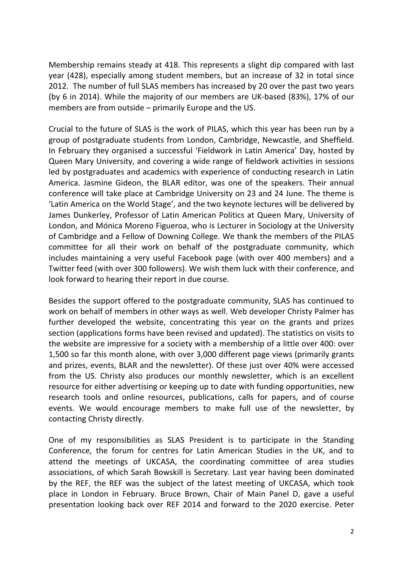Membership remains steady at 418. This represents a slight dip compared with last year (428), especially among student members, but an increase of 32 in total since 2012. The number of full SLAS members has increased by 20 over the past two years (by 6 in 2014). While the majority of our members are UK-based (83%), 17% of our members are from outside  $-$  primarily Europe and the US.

Crucial to the future of SLAS is the work of PILAS, which this year has been run by a group of postgraduate students from London, Cambridge, Newcastle, and Sheffield. In February they organised a successful 'Fieldwork in Latin America' Day, hosted by Queen Mary University, and covering a wide range of fieldwork activities in sessions led by postgraduates and academics with experience of conducting research in Latin America. Jasmine Gideon, the BLAR editor, was one of the speakers. Their annual conference will take place at Cambridge University on 23 and 24 June. The theme is 'Latin America on the World Stage', and the two keynote lectures will be delivered by James Dunkerley, Professor of Latin American Politics at Queen Mary, University of London, and Mónica Moreno Figueroa, who is Lecturer in Sociology at the University of Cambridge and a Fellow of Downing College. We thank the members of the PILAS committee for all their work on behalf of the postgraduate community, which includes maintaining a very useful Facebook page (with over 400 members) and a Twitter feed (with over 300 followers). We wish them luck with their conference, and look forward to hearing their report in due course.

Besides the support offered to the postgraduate community, SLAS has continued to work on behalf of members in other ways as well. Web developer Christy Palmer has further developed the website, concentrating this year on the grants and prizes section (applications forms have been revised and updated). The statistics on visits to the website are impressive for a society with a membership of a little over 400: over 1,500 so far this month alone, with over 3,000 different page views (primarily grants and prizes, events, BLAR and the newsletter). Of these just over 40% were accessed from the US. Christy also produces our monthly newsletter, which is an excellent resource for either advertising or keeping up to date with funding opportunities, new research tools and online resources, publications, calls for papers, and of course events. We would encourage members to make full use of the newsletter, by contacting Christy directly.

One of my responsibilities as SLAS President is to participate in the Standing Conference, the forum for centres for Latin American Studies in the UK, and to attend the meetings of UKCASA, the coordinating committee of area studies associations, of which Sarah Bowskill is Secretary. Last year having been dominated by the REF, the REF was the subject of the latest meeting of UKCASA, which took place in London in February. Bruce Brown, Chair of Main Panel D, gave a useful presentation looking back over REF 2014 and forward to the 2020 exercise. Peter